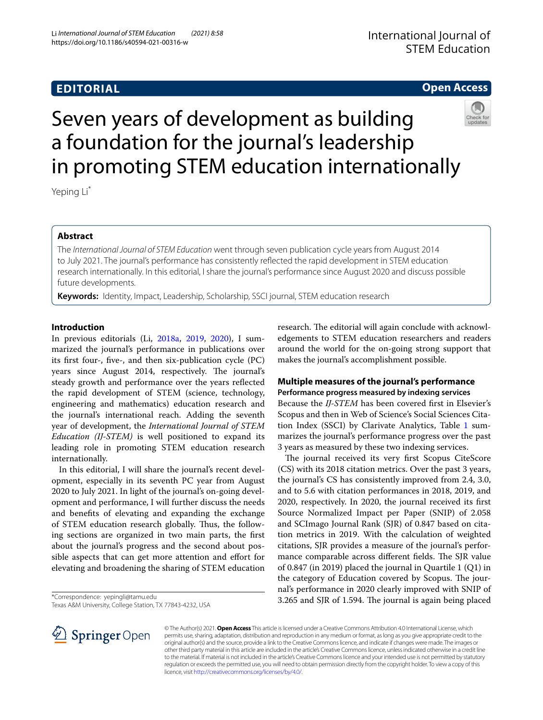# **EDITORIAL**

# International Journal of STEM Education

## **Open Access**



# Seven years of development as building a foundation for the journal's leadership in promoting STEM education internationally

Yeping Li\*

## **Abstract**

The *International Journal of STEM Education* went through seven publication cycle years from August 2014 to July 2021. The journal's performance has consistently refected the rapid development in STEM education research internationally. In this editorial, I share the journal's performance since August 2020 and discuss possible future developments.

**Keywords:** Identity, Impact, Leadership, Scholarship, SSCI journal, STEM education research

## **Introduction**

In previous editorials (Li, [2018a,](#page-5-0) [2019,](#page-5-1) [2020\)](#page-5-2), I summarized the journal's performance in publications over its frst four-, fve-, and then six-publication cycle (PC) years since August 2014, respectively. The journal's steady growth and performance over the years refected the rapid development of STEM (science, technology, engineering and mathematics) education research and the journal's international reach. Adding the seventh year of development, the *International Journal of STEM Education (IJ-STEM)* is well positioned to expand its leading role in promoting STEM education research internationally.

In this editorial, I will share the journal's recent development, especially in its seventh PC year from August 2020 to July 2021. In light of the journal's on-going development and performance, I will further discuss the needs and benefts of elevating and expanding the exchange of STEM education research globally. Thus, the following sections are organized in two main parts, the frst about the journal's progress and the second about possible aspects that can get more attention and efort for elevating and broadening the sharing of STEM education

\*Correspondence: yepingli@tamu.edu

Texas A&M University, College Station, TX 77843‑4232, USA

research. The editorial will again conclude with acknowledgements to STEM education researchers and readers around the world for the on-going strong support that makes the journal's accomplishment possible.

## **Multiple measures of the journal's performance Performance progress measured by indexing services**

Because the *IJ-STEM* has been covered frst in Elsevier's Scopus and then in Web of Science's Social Sciences Cita-tion Index (SSCI) by Clarivate Analytics, Table [1](#page-1-0) summarizes the journal's performance progress over the past 3 years as measured by these two indexing services.

The journal received its very first Scopus CiteScore (CS) with its 2018 citation metrics. Over the past 3 years, the journal's CS has consistently improved from 2.4, 3.0, and to 5.6 with citation performances in 2018, 2019, and 2020, respectively. In 2020, the journal received its frst Source Normalized Impact per Paper (SNIP) of 2.058 and SCImago Journal Rank (SJR) of 0.847 based on citation metrics in 2019. With the calculation of weighted citations, SJR provides a measure of the journal's performance comparable across different fields. The SJR value of 0.847 (in 2019) placed the journal in Quartile 1 (Q1) in the category of Education covered by Scopus. The journal's performance in 2020 clearly improved with SNIP of 3.265 and SJR of 1.594. The journal is again being placed



© The Author(s) 2021. **Open Access** This article is licensed under a Creative Commons Attribution 4.0 International License, which permits use, sharing, adaptation, distribution and reproduction in any medium or format, as long as you give appropriate credit to the original author(s) and the source, provide a link to the Creative Commons licence, and indicate if changes were made. The images or other third party material in this article are included in the article's Creative Commons licence, unless indicated otherwise in a credit line to the material. If material is not included in the article's Creative Commons licence and your intended use is not permitted by statutory regulation or exceeds the permitted use, you will need to obtain permission directly from the copyright holder. To view a copy of this licence, visit [http://creativecommons.org/licenses/by/4.0/.](http://creativecommons.org/licenses/by/4.0/)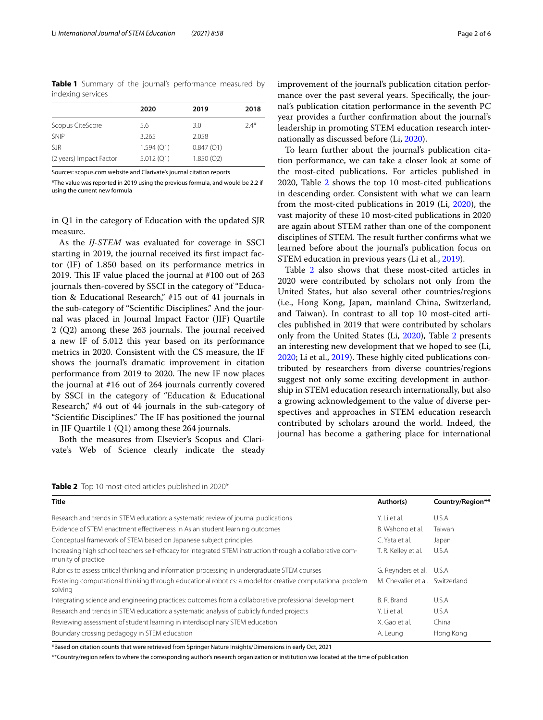<span id="page-1-0"></span>**Table 1** Summary of the journal's performance measured by indexing services

|                         | 2020         | 2019      | 2018   |
|-------------------------|--------------|-----------|--------|
| Scopus CiteScore        | 5.6          | 3.0       | $7.4*$ |
| SNIP                    | 3.265        | 2.058     |        |
| <b>SJR</b>              | $1.594$ (Q1) | 0.847(Q1) |        |
| (2 years) Impact Factor | 5.012(Q1)    | 1.850(Q2) |        |
|                         |              |           |        |

Sources: scopus.com website and Clarivate's journal citation reports

\*The value was reported in 2019 using the previous formula, and would be 2.2 if using the current new formula

in Q1 in the category of Education with the updated SJR measure.

As the *IJ-STEM* was evaluated for coverage in SSCI starting in 2019, the journal received its frst impact factor (IF) of 1.850 based on its performance metrics in 2019. This IF value placed the journal at  $#100$  out of 263 journals then-covered by SSCI in the category of "Education & Educational Research," #15 out of 41 journals in the sub-category of "Scientifc Disciplines." And the journal was placed in Journal Impact Factor (JIF) Quartile  $2 (Q2)$  among these 263 journals. The journal received a new IF of 5.012 this year based on its performance metrics in 2020. Consistent with the CS measure, the IF shows the journal's dramatic improvement in citation performance from 2019 to 2020. The new IF now places the journal at #16 out of 264 journals currently covered by SSCI in the category of "Education & Educational Research," #4 out of 44 journals in the sub-category of "Scientific Disciplines." The IF has positioned the journal in JIF Quartile 1 (Q1) among these 264 journals.

Both the measures from Elsevier's Scopus and Clarivate's Web of Science clearly indicate the steady

improvement of the journal's publication citation performance over the past several years. Specifcally, the journal's publication citation performance in the seventh PC year provides a further confrmation about the journal's leadership in promoting STEM education research internationally as discussed before (Li, [2020](#page-5-2)).

To learn further about the journal's publication citation performance, we can take a closer look at some of the most-cited publications. For articles published in [2](#page-1-1)020, Table 2 shows the top 10 most-cited publications in descending order. Consistent with what we can learn from the most-cited publications in 2019 (Li, [2020\)](#page-5-2), the vast majority of these 10 most-cited publications in 2020 are again about STEM rather than one of the component disciplines of STEM. The result further confirms what we learned before about the journal's publication focus on STEM education in previous years (Li et al., [2019\)](#page-5-3).

Table [2](#page-1-1) also shows that these most-cited articles in 2020 were contributed by scholars not only from the United States, but also several other countries/regions (i.e., Hong Kong, Japan, mainland China, Switzerland, and Taiwan). In contrast to all top 10 most-cited articles published in 2019 that were contributed by scholars only from the United States (Li, [2020\)](#page-5-2), Table [2](#page-1-1) presents an interesting new development that we hoped to see (Li, [2020](#page-5-2); Li et al., [2019](#page-5-3)). These highly cited publications contributed by researchers from diverse countries/regions suggest not only some exciting development in authorship in STEM education research internationally, but also a growing acknowledgement to the value of diverse perspectives and approaches in STEM education research contributed by scholars around the world. Indeed, the journal has become a gathering place for international

<span id="page-1-1"></span>**Table 2** Top 10 most-cited articles published in 2020\*

| <b>Title</b>                                                                                                                     | Author(s)                       | Country/Region** |
|----------------------------------------------------------------------------------------------------------------------------------|---------------------------------|------------------|
| Research and trends in STEM education: a systematic review of journal publications                                               | Y. I i et al.                   | U.S.A            |
| Evidence of STEM enactment effectiveness in Asian student learning outcomes                                                      | B. Wahono et al.                | Taiwan           |
| Conceptual framework of STEM based on Japanese subject principles                                                                | C. Yata et al.                  | Japan            |
| Increasing high school teachers self-efficacy for integrated STEM instruction through a collaborative com-<br>munity of practice | T. R. Kelley et al.             | U.S.A            |
| Rubrics to assess critical thinking and information processing in undergraduate STEM courses                                     | G. Reynders et al. U.S.A        |                  |
| Fostering computational thinking through educational robotics: a model for creative computational problem<br>solving             | M. Chevalier et al. Switzerland |                  |
| Integrating science and engineering practices: outcomes from a collaborative professional development                            | B. R. Brand                     | U.S.A            |
| Research and trends in STEM education: a systematic analysis of publicly funded projects                                         | Y. Liet al.                     | U.S.A            |
| Reviewing assessment of student learning in interdisciplinary STEM education                                                     | X. Gao et al.                   | China            |
| Boundary crossing pedagogy in STEM education                                                                                     | A. Leung                        | Hong Kong        |

\*Based on citation counts that were retrieved from Springer Nature Insights/Dimensions in early Oct, 2021

\*\*Country/region refers to where the corresponding author's research organization or institution was located at the time of publication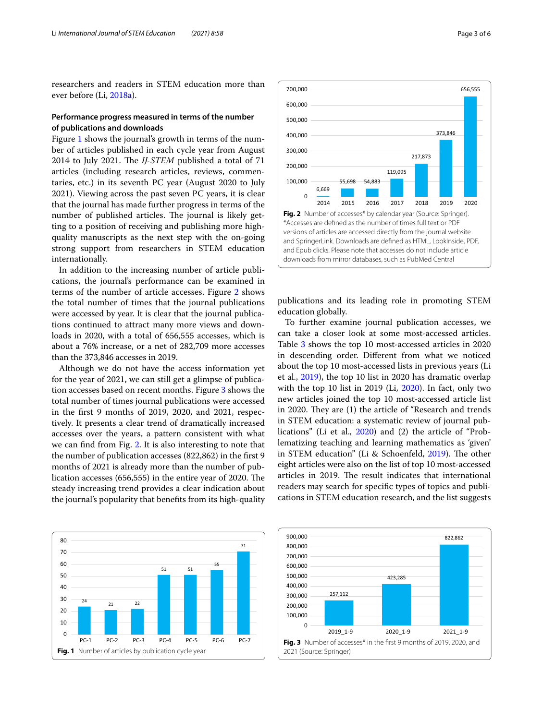researchers and readers in STEM education more than ever before (Li, [2018a\)](#page-5-0).

## **Performance progress measured in terms of the number of publications and downloads**

Figure [1](#page-2-0) shows the journal's growth in terms of the number of articles published in each cycle year from August 2014 to July 2021. The *IJ-STEM* published a total of 71 articles (including research articles, reviews, commentaries, etc.) in its seventh PC year (August 2020 to July 2021). Viewing across the past seven PC years, it is clear that the journal has made further progress in terms of the number of published articles. The journal is likely getting to a position of receiving and publishing more highquality manuscripts as the next step with the on-going strong support from researchers in STEM education internationally.

In addition to the increasing number of article publications, the journal's performance can be examined in terms of the number of article accesses. Figure [2](#page-2-1) shows the total number of times that the journal publications were accessed by year. It is clear that the journal publications continued to attract many more views and downloads in 2020, with a total of 656,555 accesses, which is about a 76% increase, or a net of 282,709 more accesses than the 373,846 accesses in 2019.

Although we do not have the access information yet for the year of 2021, we can still get a glimpse of publication accesses based on recent months. Figure [3](#page-2-2) shows the total number of times journal publications were accessed in the frst 9 months of 2019, 2020, and 2021, respectively. It presents a clear trend of dramatically increased accesses over the years, a pattern consistent with what we can fnd from Fig. [2.](#page-2-1) It is also interesting to note that the number of publication accesses (822,862) in the frst 9 months of 2021 is already more than the number of publication accesses  $(656,555)$  in the entire year of 2020. The steady increasing trend provides a clear indication about the journal's popularity that benefts from its high-quality

<span id="page-2-0"></span>



<span id="page-2-1"></span>publications and its leading role in promoting STEM education globally.

To further examine journal publication accesses, we can take a closer look at some most-accessed articles. Table [3](#page-3-0) shows the top 10 most-accessed articles in 2020 in descending order. Diferent from what we noticed about the top 10 most-accessed lists in previous years (Li et al., [2019\)](#page-5-3), the top 10 list in 2020 has dramatic overlap with the top 10 list in 2019 (Li, [2020](#page-5-2)). In fact, only two new articles joined the top 10 most-accessed article list in 2020. They are (1) the article of "Research and trends in STEM education: a systematic review of journal publications" (Li et al., [2020\)](#page-5-4) and (2) the article of "Problematizing teaching and learning mathematics as 'given' in STEM education" (Li & Schoenfeld, [2019](#page-5-5)). The other eight articles were also on the list of top 10 most-accessed articles in 2019. The result indicates that international readers may search for specifc types of topics and publications in STEM education research, and the list suggests

<span id="page-2-2"></span>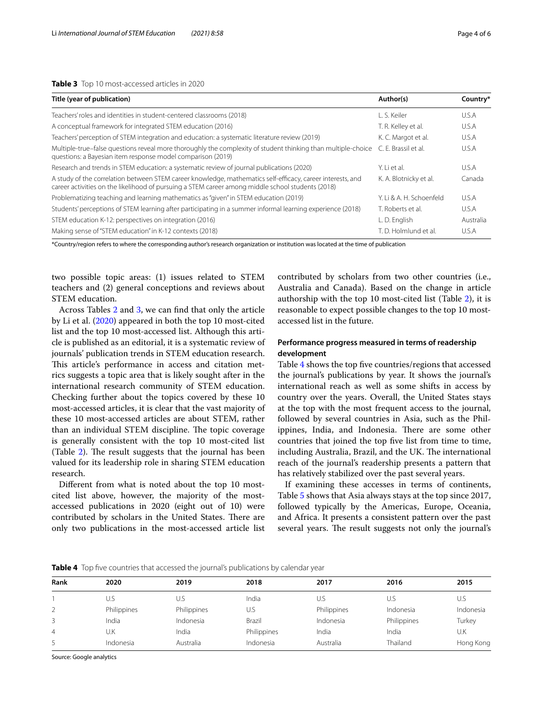#### <span id="page-3-0"></span>**Table 3** Top 10 most-accessed articles in 2020

| Title (year of publication)                                                                                                                                                                                     | Author(s)                | Country*  |
|-----------------------------------------------------------------------------------------------------------------------------------------------------------------------------------------------------------------|--------------------------|-----------|
| Teachers' roles and identities in student-centered classrooms (2018)                                                                                                                                            | L. S. Keiler             | U.S.A     |
| A conceptual framework for integrated STEM education (2016)                                                                                                                                                     | T. R. Kelley et al.      | U.S.A     |
| Teachers' perception of STEM integration and education: a systematic literature review (2019)                                                                                                                   | K. C. Margot et al.      | U.S.A     |
| Multiple-true-false questions reveal more thoroughly the complexity of student thinking than multiple-choice<br>questions: a Bayesian item response model comparison (2019)                                     | C. F. Brassil et al.     | U.S.A     |
| Research and trends in STEM education: a systematic review of journal publications (2020)                                                                                                                       | Y. Li et al.             | U.S.A     |
| A study of the correlation between STEM career knowledge, mathematics self-efficacy, career interests, and<br>career activities on the likelihood of pursuing a STEM career among middle school students (2018) | K. A. Blotnicky et al.   | Canada    |
| Problematizing teaching and learning mathematics as "given" in STEM education (2019)                                                                                                                            | Y. Li & A. H. Schoenfeld | U.S.A     |
| Students' perceptions of STEM learning after participating in a summer informal learning experience (2018)                                                                                                      | T. Roberts et al.        | U.S.A     |
| STEM education K-12: perspectives on integration (2016)                                                                                                                                                         | L. D. English            | Australia |
| Making sense of "STEM education" in K-12 contexts (2018)                                                                                                                                                        | T. D. Holmlund et al.    | U.S.A     |

\*Country/region refers to where the corresponding author's research organization or institution was located at the time of publication

two possible topic areas: (1) issues related to STEM teachers and (2) general conceptions and reviews about STEM education.

Across Tables [2](#page-1-1) and [3,](#page-3-0) we can fnd that only the article by Li et al. ([2020\)](#page-5-4) appeared in both the top 10 most-cited list and the top 10 most-accessed list. Although this article is published as an editorial, it is a systematic review of journals' publication trends in STEM education research. This article's performance in access and citation metrics suggests a topic area that is likely sought after in the international research community of STEM education. Checking further about the topics covered by these 10 most-accessed articles, it is clear that the vast majority of these 10 most-accessed articles are about STEM, rather than an individual STEM discipline. The topic coverage is generally consistent with the top 10 most-cited list (Table [2\)](#page-1-1). The result suggests that the journal has been valued for its leadership role in sharing STEM education research.

Diferent from what is noted about the top 10 mostcited list above, however, the majority of the mostaccessed publications in 2020 (eight out of 10) were contributed by scholars in the United States. There are only two publications in the most-accessed article list contributed by scholars from two other countries (i.e., Australia and Canada). Based on the change in article authorship with the top 10 most-cited list (Table [2\)](#page-1-1), it is reasonable to expect possible changes to the top 10 mostaccessed list in the future.

## **Performance progress measured in terms of readership development**

Table [4](#page-3-1) shows the top fve countries/regions that accessed the journal's publications by year. It shows the journal's international reach as well as some shifts in access by country over the years. Overall, the United States stays at the top with the most frequent access to the journal, followed by several countries in Asia, such as the Philippines, India, and Indonesia. There are some other countries that joined the top fve list from time to time, including Australia, Brazil, and the UK. The international reach of the journal's readership presents a pattern that has relatively stabilized over the past several years.

If examining these accesses in terms of continents, Table [5](#page-4-0) shows that Asia always stays at the top since 2017, followed typically by the Americas, Europe, Oceania, and Africa. It presents a consistent pattern over the past several years. The result suggests not only the journal's

<span id="page-3-1"></span>**Table 4** Top five countries that accessed the journal's publications by calendar year

| Rank | 2020        | 2019        | 2018        | 2017        | 2016        | 2015      |
|------|-------------|-------------|-------------|-------------|-------------|-----------|
|      | J.S         | U.S         | India       | U.S         | U.S         | U.S       |
|      | Philippines | Philippines | U.S         | Philippines | Indonesia   | Indonesia |
|      | India       | Indonesia   | Brazil      | Indonesia   | Philippines | Turkey    |
| 4    | U.K         | India       | Philippines | India       | India       | U.K       |
|      | Indonesia   | Australia   | Indonesia   | Australia   | Thailand    | Hong Kong |

Source: Google analytics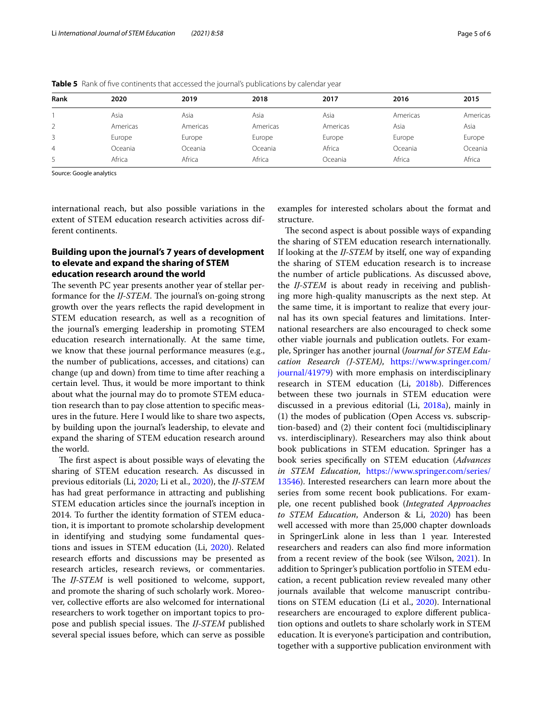| Rank | 2020     | 2019     | 2018     | 2017     | 2016     | 2015     |
|------|----------|----------|----------|----------|----------|----------|
|      | Asia     | Asia     | Asia     | Asia     | Americas | Americas |
|      | Americas | Americas | Americas | Americas | Asia     | Asia     |
| 3    | Europe   | Europe   | Europe   | Europe   | Europe   | Europe   |
| 4    | Oceania  | Oceania  | Oceania  | Africa   | Oceania  | Oceania  |
| 5    | Africa   | Africa   | Africa   | Oceania  | Africa   | Africa   |

<span id="page-4-0"></span>**Table 5** Rank of five continents that accessed the journal's publications by calendar year

Source: Google analytics

international reach, but also possible variations in the extent of STEM education research activities across different continents.

## **Building upon the journal's 7 years of development to elevate and expand the sharing of STEM education research around the world**

The seventh PC year presents another year of stellar performance for the *IJ-STEM*. The journal's on-going strong growth over the years refects the rapid development in STEM education research, as well as a recognition of the journal's emerging leadership in promoting STEM education research internationally. At the same time, we know that these journal performance measures (e.g., the number of publications, accesses, and citations) can change (up and down) from time to time after reaching a certain level. Thus, it would be more important to think about what the journal may do to promote STEM education research than to pay close attention to specifc measures in the future. Here I would like to share two aspects, by building upon the journal's leadership, to elevate and expand the sharing of STEM education research around the world.

The first aspect is about possible ways of elevating the sharing of STEM education research. As discussed in previous editorials (Li, [2020](#page-5-2); Li et al., [2020](#page-5-4)), the *IJ-STEM* has had great performance in attracting and publishing STEM education articles since the journal's inception in 2014. To further the identity formation of STEM education, it is important to promote scholarship development in identifying and studying some fundamental questions and issues in STEM education (Li, [2020\)](#page-5-2). Related research efforts and discussions may be presented as research articles, research reviews, or commentaries. The *IJ-STEM* is well positioned to welcome, support, and promote the sharing of such scholarly work. Moreover, collective eforts are also welcomed for international researchers to work together on important topics to propose and publish special issues. The *IJ-STEM* published several special issues before, which can serve as possible examples for interested scholars about the format and structure.

The second aspect is about possible ways of expanding the sharing of STEM education research internationally. If looking at the *IJ-STEM* by itself, one way of expanding the sharing of STEM education research is to increase the number of article publications. As discussed above, the *IJ-STEM* is about ready in receiving and publishing more high-quality manuscripts as the next step. At the same time, it is important to realize that every journal has its own special features and limitations. International researchers are also encouraged to check some other viable journals and publication outlets. For example, Springer has another journal (*Journal for STEM Education Research (J-STEM)*, [https://www.springer.com/](https://www.springer.com/journal/41979) [journal/41979](https://www.springer.com/journal/41979)) with more emphasis on interdisciplinary research in STEM education (Li, [2018b](#page-5-6)). Diferences between these two journals in STEM education were discussed in a previous editorial (Li, [2018a\)](#page-5-0), mainly in (1) the modes of publication (Open Access vs. subscription-based) and (2) their content foci (multidisciplinary vs. interdisciplinary). Researchers may also think about book publications in STEM education. Springer has a book series specifcally on STEM education (*Advances in STEM Education*, [https://www.springer.com/series/](https://www.springer.com/series/13546) [13546](https://www.springer.com/series/13546)). Interested researchers can learn more about the series from some recent book publications. For example, one recent published book (*Integrated Approaches to STEM Education*, Anderson & Li, [2020](#page-5-7)) has been well accessed with more than 25,000 chapter downloads in SpringerLink alone in less than 1 year. Interested researchers and readers can also fnd more information from a recent review of the book (see Wilson, [2021](#page-5-8)). In addition to Springer's publication portfolio in STEM education, a recent publication review revealed many other journals available that welcome manuscript contributions on STEM education (Li et al., [2020](#page-5-4)). International researchers are encouraged to explore diferent publication options and outlets to share scholarly work in STEM education. It is everyone's participation and contribution, together with a supportive publication environment with